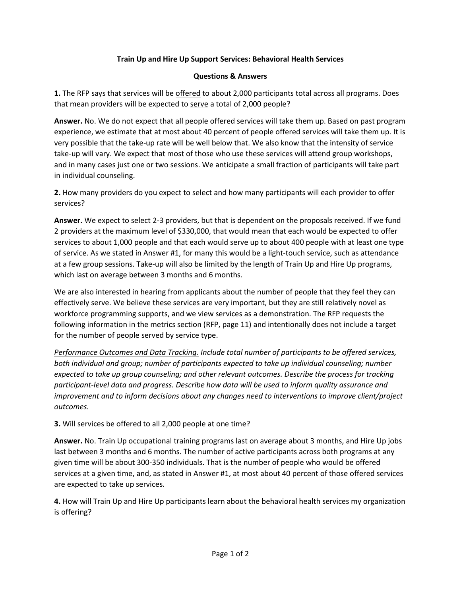## **Train Up and Hire Up Support Services: Behavioral Health Services**

## **Questions & Answers**

**1.** The RFP says that services will be offered to about 2,000 participants total across all programs. Does that mean providers will be expected to serve a total of 2,000 people?

**Answer.** No. We do not expect that all people offered services will take them up. Based on past program experience, we estimate that at most about 40 percent of people offered services will take them up. It is very possible that the take-up rate will be well below that. We also know that the intensity of service take-up will vary. We expect that most of those who use these services will attend group workshops, and in many cases just one or two sessions. We anticipate a small fraction of participants will take part in individual counseling.

**2.** How many providers do you expect to select and how many participants will each provider to offer services?

**Answer.** We expect to select 2-3 providers, but that is dependent on the proposals received. If we fund 2 providers at the maximum level of \$330,000, that would mean that each would be expected to offer services to about 1,000 people and that each would serve up to about 400 people with at least one type of service. As we stated in Answer #1, for many this would be a light-touch service, such as attendance at a few group sessions. Take-up will also be limited by the length of Train Up and Hire Up programs, which last on average between 3 months and 6 months.

We are also interested in hearing from applicants about the number of people that they feel they can effectively serve. We believe these services are very important, but they are still relatively novel as workforce programming supports, and we view services as a demonstration. The RFP requests the following information in the metrics section (RFP, page 11) and intentionally does not include a target for the number of people served by service type.

*Performance Outcomes and Data Tracking. Include total number of participants to be offered services, both individual and group; number of participants expected to take up individual counseling; number expected to take up group counseling; and other relevant outcomes. Describe the process for tracking participant-level data and progress. Describe how data will be used to inform quality assurance and improvement and to inform decisions about any changes need to interventions to improve client/project outcomes.*

## **3.** Will services be offered to all 2,000 people at one time?

**Answer.** No. Train Up occupational training programs last on average about 3 months, and Hire Up jobs last between 3 months and 6 months. The number of active participants across both programs at any given time will be about 300-350 individuals. That is the number of people who would be offered services at a given time, and, as stated in Answer #1, at most about 40 percent of those offered services are expected to take up services.

**4.** How will Train Up and Hire Up participants learn about the behavioral health services my organization is offering?